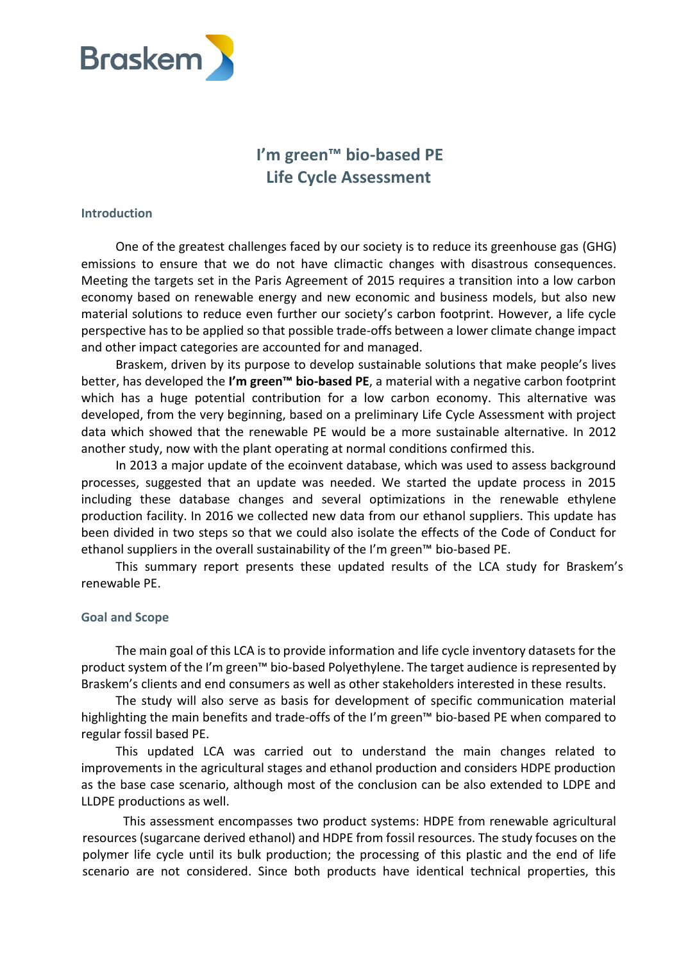

# **I'm green™ bio-based PE Life Cycle Assessment**

#### **Introduction**

One of the greatest challenges faced by our society is to reduce its greenhouse gas (GHG) emissions to ensure that we do not have climactic changes with disastrous consequences. Meeting the targets set in the Paris Agreement of 2015 requires a transition into a low carbon economy based on renewable energy and new economic and business models, but also new material solutions to reduce even further our society's carbon footprint. However, a life cycle perspective has to be applied so that possible trade-offs between a lower climate change impact and other impact categories are accounted for and managed.

Braskem, driven by its purpose to develop sustainable solutions that make people's lives better, has developed the **I'm green™ bio-based PE**, a material with a negative carbon footprint which has a huge potential contribution for a low carbon economy. This alternative was developed, from the very beginning, based on a preliminary Life Cycle Assessment with project data which showed that the renewable PE would be a more sustainable alternative. In 2012 another study, now with the plant operating at normal conditions confirmed this.

In 2013 a major update of the ecoinvent database, which was used to assess background processes, suggested that an update was needed. We started the update process in 2015 including these database changes and several optimizations in the renewable ethylene production facility. In 2016 we collected new data from our ethanol suppliers. This update has been divided in two steps so that we could also isolate the effects of the Code of Conduct for ethanol suppliers in the overall sustainability of the I'm green™ bio-based PE.

This summary report presents these updated results of the LCA study for Braskem's renewable PE.

#### **Goal and Scope**

The main goal of this LCA is to provide information and life cycle inventory datasets for the product system of the I'm green™ bio-based Polyethylene. The target audience is represented by Braskem's clients and end consumers as well as other stakeholders interested in these results.

The study will also serve as basis for development of specific communication material highlighting the main benefits and trade-offs of the I'm green™ bio-based PE when compared to regular fossil based PE.

This updated LCA was carried out to understand the main changes related to improvements in the agricultural stages and ethanol production and considers HDPE production as the base case scenario, although most of the conclusion can be also extended to LDPE and LLDPE productions as well.

This assessment encompasses two product systems: HDPE from renewable agricultural resources (sugarcane derived ethanol) and HDPE from fossil resources. The study focuses on the polymer life cycle until its bulk production; the processing of this plastic and the end of life scenario are not considered. Since both products have identical technical properties, this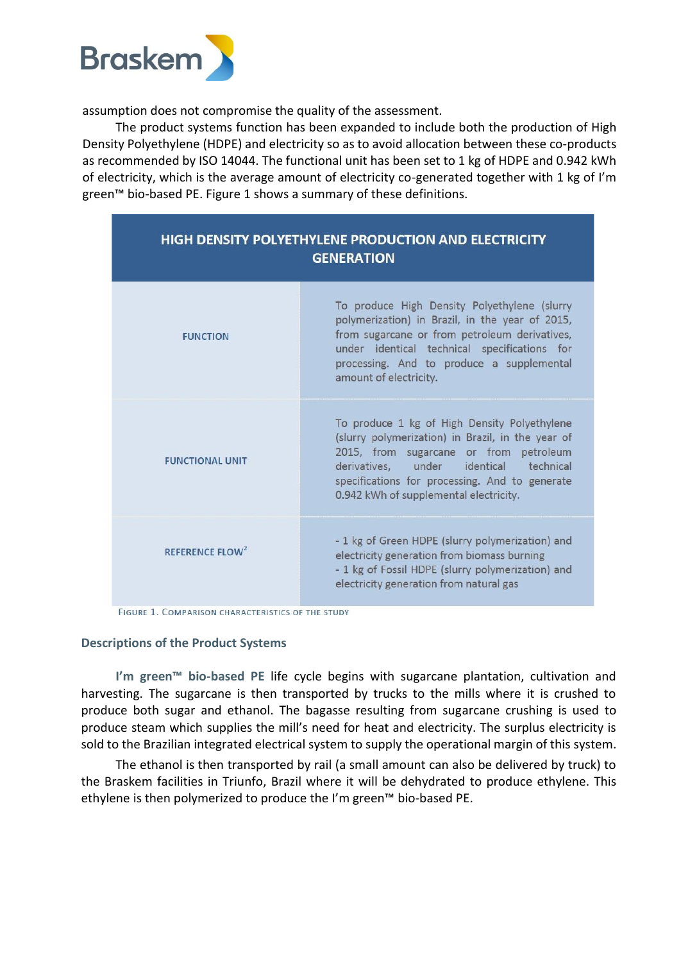

assumption does not compromise the quality of the assessment.

The product systems function has been expanded to include both the production of High Density Polyethylene (HDPE) and electricity so as to avoid allocation between these co-products as recommended by ISO 14044. The functional unit has been set to 1 kg of HDPE and 0.942 kWh of electricity, which is the average amount of electricity co-generated together with 1 kg of I'm green™ bio-based PE. Figure 1 shows a summary of these definitions.

| <b>HIGH DENSITY POLYETHYLENE PRODUCTION AND ELECTRICITY</b><br><b>GENERATION</b> |                                                                                                                                                                                                                                                                                   |  |  |  |
|----------------------------------------------------------------------------------|-----------------------------------------------------------------------------------------------------------------------------------------------------------------------------------------------------------------------------------------------------------------------------------|--|--|--|
| <b>FUNCTION</b>                                                                  | To produce High Density Polyethylene (slurry<br>polymerization) in Brazil, in the year of 2015,<br>from sugarcane or from petroleum derivatives,<br>under identical technical specifications for<br>processing. And to produce a supplemental<br>amount of electricity.           |  |  |  |
| <b>FUNCTIONAL UNIT</b>                                                           | To produce 1 kg of High Density Polyethylene<br>(slurry polymerization) in Brazil, in the year of<br>2015, from sugarcane or from petroleum<br>derivatives, under identical technical<br>specifications for processing. And to generate<br>0.942 kWh of supplemental electricity. |  |  |  |
| REFERENCE FLOW <sup>2</sup>                                                      | - 1 kg of Green HDPE (slurry polymerization) and<br>electricity generation from biomass burning<br>- 1 kg of Fossil HDPE (slurry polymerization) and<br>electricity generation from natural gas                                                                                   |  |  |  |

FIGURE 1. COMPARISON CHARACTERISTICS OF THE STUDY

#### **Descriptions of the Product Systems**

**I'm green™ bio-based PE** life cycle begins with sugarcane plantation, cultivation and harvesting. The sugarcane is then transported by trucks to the mills where it is crushed to produce both sugar and ethanol. The bagasse resulting from sugarcane crushing is used to produce steam which supplies the mill's need for heat and electricity. The surplus electricity is sold to the Brazilian integrated electrical system to supply the operational margin of this system.

The ethanol is then transported by rail (a small amount can also be delivered by truck) to the Braskem facilities in Triunfo, Brazil where it will be dehydrated to produce ethylene. This ethylene is then polymerized to produce the I'm green™ bio-based PE.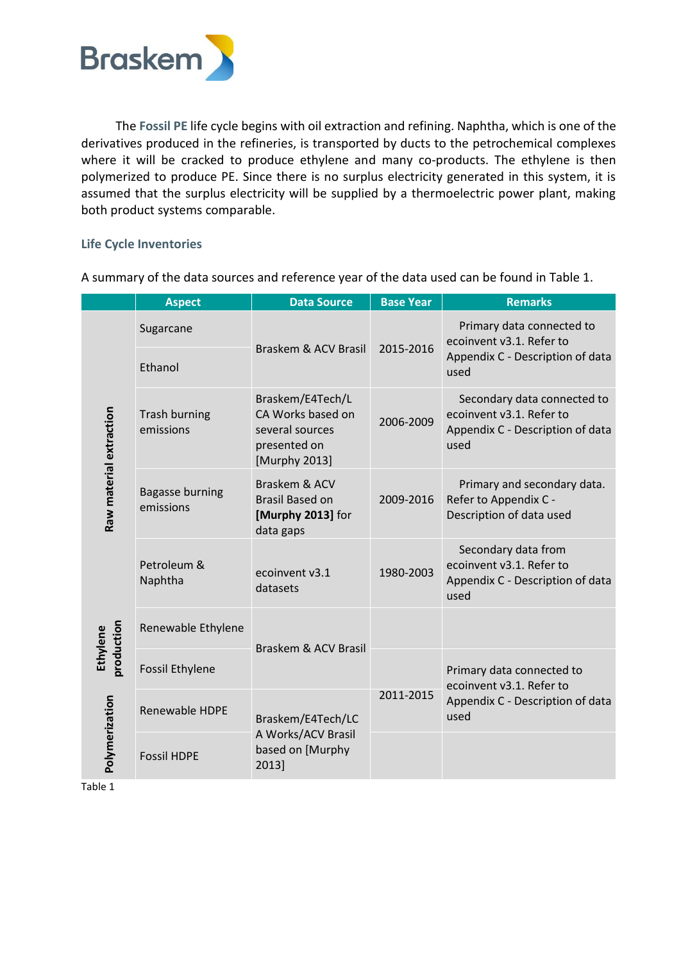

The **Fossil PE** life cycle begins with oil extraction and refining. Naphtha, which is one of the derivatives produced in the refineries, is transported by ducts to the petrochemical complexes where it will be cracked to produce ethylene and many co-products. The ethylene is then polymerized to produce PE. Since there is no surplus electricity generated in this system, it is assumed that the surplus electricity will be supplied by a thermoelectric power plant, making both product systems comparable.

## **Life Cycle Inventories**

|                                                                     | <b>Aspect</b>                       | <b>Data Source</b>                                                                        | <b>Base Year</b> | <b>Remarks</b>                                                                                      |
|---------------------------------------------------------------------|-------------------------------------|-------------------------------------------------------------------------------------------|------------------|-----------------------------------------------------------------------------------------------------|
| Raw material extraction<br>production<br>Ethylene<br>Polymerization | Sugarcane<br>Ethanol                | Braskem & ACV Brasil                                                                      | 2015-2016        | Primary data connected to<br>ecoinvent v3.1. Refer to<br>Appendix C - Description of data<br>used   |
|                                                                     | <b>Trash burning</b><br>emissions   | Braskem/E4Tech/L<br>CA Works based on<br>several sources<br>presented on<br>[Murphy 2013] | 2006-2009        | Secondary data connected to<br>ecoinvent v3.1. Refer to<br>Appendix C - Description of data<br>used |
|                                                                     | <b>Bagasse burning</b><br>emissions | Braskem & ACV<br><b>Brasil Based on</b><br>[Murphy 2013] for<br>data gaps                 | 2009-2016        | Primary and secondary data.<br>Refer to Appendix C -<br>Description of data used                    |
|                                                                     | Petroleum &<br>Naphtha              | ecoinvent v3.1<br>datasets                                                                | 1980-2003        | Secondary data from<br>ecoinvent v3.1. Refer to<br>Appendix C - Description of data<br>used         |
|                                                                     | Renewable Ethylene                  | Braskem & ACV Brasil                                                                      |                  |                                                                                                     |
|                                                                     | <b>Fossil Ethylene</b>              |                                                                                           | 2011-2015        | Primary data connected to<br>ecoinvent v3.1. Refer to                                               |
|                                                                     | Renewable HDPE                      | Braskem/E4Tech/LC                                                                         |                  | Appendix C - Description of data<br>used                                                            |
|                                                                     | <b>Fossil HDPE</b>                  | A Works/ACV Brasil<br>based on [Murphy<br>2013]                                           |                  |                                                                                                     |
| Table 1                                                             |                                     |                                                                                           |                  |                                                                                                     |

A summary of the data sources and reference year of the data used can be found in Table 1.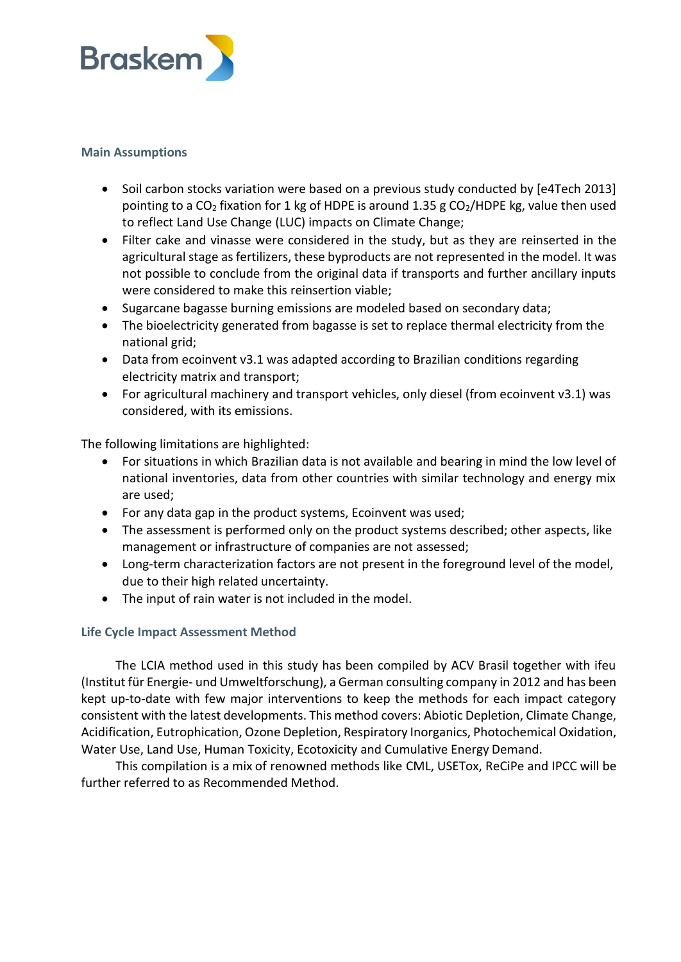

## **Main Assumptions**

- Soil carbon stocks variation were based on a previous study conducted by [e4Tech 2013] pointing to a  $CO<sub>2</sub>$  fixation for 1 kg of HDPE is around 1.35 g  $CO<sub>2</sub>/HDFE$  kg, value then used to reflect Land Use Change (LUC) impacts on Climate Change;
- Filter cake and vinasse were considered in the study, but as they are reinserted in the agricultural stage asfertilizers, these byproducts are not represented in the model. It was not possible to conclude from the original data if transports and further ancillary inputs were considered to make this reinsertion viable;
- Sugarcane bagasse burning emissions are modeled based on secondary data;
- The bioelectricity generated from bagasse is set to replace thermal electricity from the national grid;
- Data from ecoinvent v3.1 was adapted according to Brazilian conditions regarding electricity matrix and transport;
- For agricultural machinery and transport vehicles, only diesel (from ecoinvent v3.1) was considered, with its emissions.

The following limitations are highlighted:

- For situations in which Brazilian data is not available and bearing in mind the low level of national inventories, data from other countries with similar technology and energy mix are used;
- For any data gap in the product systems, Ecoinvent was used;
- The assessment is performed only on the product systems described; other aspects, like management or infrastructure of companies are not assessed;
- Long-term characterization factors are not present in the foreground level of the model, due to their high related uncertainty.
- The input of rain water is not included in the model.

## **Life Cycle Impact Assessment Method**

The LCIA method used in this study has been compiled by ACV Brasil together with ifeu (Institut für Energie- und Umweltforschung), a German consulting company in 2012 and has been kept up-to-date with few major interventions to keep the methods for each impact category consistent with the latest developments. This method covers: Abiotic Depletion, Climate Change, Acidification, Eutrophication, Ozone Depletion, Respiratory Inorganics, Photochemical Oxidation, Water Use, Land Use, Human Toxicity, Ecotoxicity and Cumulative Energy Demand.

This compilation is a mix of renowned methods like CML, USETox, ReCiPe and IPCC will be further referred to as Recommended Method.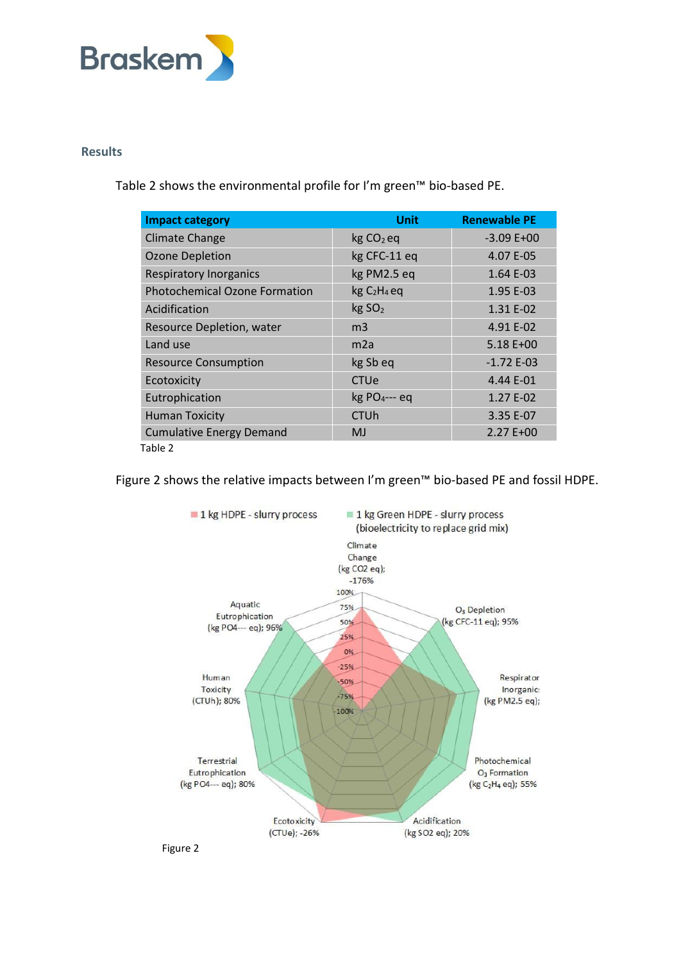

### **Results**

Table 2 shows the environmental profile for I'm green™ bio-based PE.

| <b>Impact category</b>               | <b>Unit</b>                 | <b>Renewable PE</b> |
|--------------------------------------|-----------------------------|---------------------|
| <b>Climate Change</b>                | $kg CO2$ eq                 | $-3.09E+00$         |
| <b>Ozone Depletion</b>               | kg CFC-11 eq                | 4.07 E-05           |
| <b>Respiratory Inorganics</b>        | kg PM2.5 eq                 | 1.64 E-03           |
| <b>Photochemical Ozone Formation</b> | $kgC2H4$ eq                 | 1.95 E-03           |
| Acidification                        | kg SO <sub>2</sub>          | 1.31 E-02           |
| Resource Depletion, water            | m <sub>3</sub>              | 4.91 E-02           |
| Land use                             | m <sub>2a</sub>             | 5.18 E+00           |
| <b>Resource Consumption</b>          | kg Sb eq                    | $-1.72E-03$         |
| Ecotoxicity                          | CTUe                        | 4.44 E-01           |
| Eutrophication                       | $kg$ PO <sub>4</sub> --- eq | 1.27 E-02           |
| <b>Human Toxicity</b>                | <b>CTUh</b>                 | 3.35 E-07           |
| <b>Cumulative Energy Demand</b>      | <b>MJ</b>                   | 2.27 E+00           |
| Table 2                              |                             |                     |

Figure 2 shows the relative impacts between I'm green™ bio-based PE and fossil HDPE.